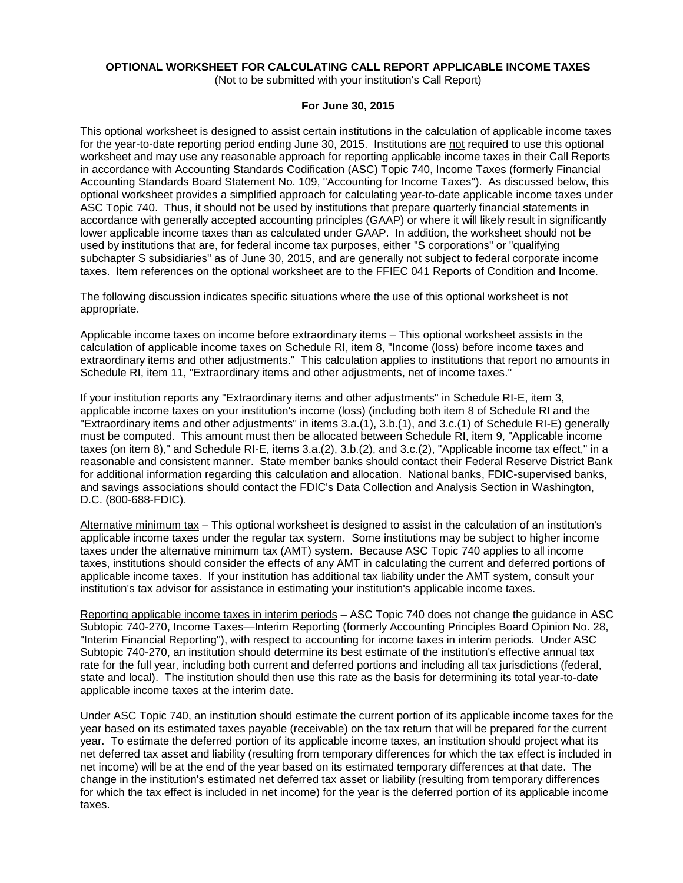# **OPTIONAL WORKSHEET FOR CALCULATING CALL REPORT APPLICABLE INCOME TAXES**

(Not to be submitted with your institution's Call Report)

### **For June 30, 2015**

This optional worksheet is designed to assist certain institutions in the calculation of applicable income taxes for the year-to-date reporting period ending June 30, 2015. Institutions are not required to use this optional worksheet and may use any reasonable approach for reporting applicable income taxes in their Call Reports in accordance with Accounting Standards Codification (ASC) Topic 740, Income Taxes (formerly Financial Accounting Standards Board Statement No. 109, "Accounting for Income Taxes"). As discussed below, this optional worksheet provides a simplified approach for calculating year-to-date applicable income taxes under ASC Topic 740. Thus, it should not be used by institutions that prepare quarterly financial statements in accordance with generally accepted accounting principles (GAAP) or where it will likely result in significantly lower applicable income taxes than as calculated under GAAP. In addition, the worksheet should not be used by institutions that are, for federal income tax purposes, either "S corporations" or "qualifying subchapter S subsidiaries" as of June 30, 2015, and are generally not subject to federal corporate income taxes. Item references on the optional worksheet are to the FFIEC 041 Reports of Condition and Income.

The following discussion indicates specific situations where the use of this optional worksheet is not appropriate.

Applicable income taxes on income before extraordinary items – This optional worksheet assists in the calculation of applicable income taxes on Schedule RI, item 8, "Income (loss) before income taxes and extraordinary items and other adjustments." This calculation applies to institutions that report no amounts in Schedule RI, item 11, "Extraordinary items and other adjustments, net of income taxes."

If your institution reports any "Extraordinary items and other adjustments" in Schedule RI-E, item 3, applicable income taxes on your institution's income (loss) (including both item 8 of Schedule RI and the "Extraordinary items and other adjustments" in items 3.a.(1), 3.b.(1), and 3.c.(1) of Schedule RI-E) generally must be computed. This amount must then be allocated between Schedule RI, item 9, "Applicable income taxes (on item 8)," and Schedule RI-E, items 3.a.(2), 3.b.(2), and 3.c.(2), "Applicable income tax effect," in a reasonable and consistent manner. State member banks should contact their Federal Reserve District Bank for additional information regarding this calculation and allocation. National banks, FDIC-supervised banks, and savings associations should contact the FDIC's Data Collection and Analysis Section in Washington, D.C. (800-688-FDIC).

Alternative minimum tax – This optional worksheet is designed to assist in the calculation of an institution's applicable income taxes under the regular tax system. Some institutions may be subject to higher income taxes under the alternative minimum tax (AMT) system. Because ASC Topic 740 applies to all income taxes, institutions should consider the effects of any AMT in calculating the current and deferred portions of applicable income taxes. If your institution has additional tax liability under the AMT system, consult your institution's tax advisor for assistance in estimating your institution's applicable income taxes.

Reporting applicable income taxes in interim periods – ASC Topic 740 does not change the guidance in ASC Subtopic 740-270, Income Taxes—Interim Reporting (formerly Accounting Principles Board Opinion No. 28, "Interim Financial Reporting"), with respect to accounting for income taxes in interim periods. Under ASC Subtopic 740-270, an institution should determine its best estimate of the institution's effective annual tax rate for the full year, including both current and deferred portions and including all tax jurisdictions (federal, state and local). The institution should then use this rate as the basis for determining its total year-to-date applicable income taxes at the interim date.

Under ASC Topic 740, an institution should estimate the current portion of its applicable income taxes for the year based on its estimated taxes payable (receivable) on the tax return that will be prepared for the current year. To estimate the deferred portion of its applicable income taxes, an institution should project what its net deferred tax asset and liability (resulting from temporary differences for which the tax effect is included in net income) will be at the end of the year based on its estimated temporary differences at that date. The change in the institution's estimated net deferred tax asset or liability (resulting from temporary differences for which the tax effect is included in net income) for the year is the deferred portion of its applicable income taxes.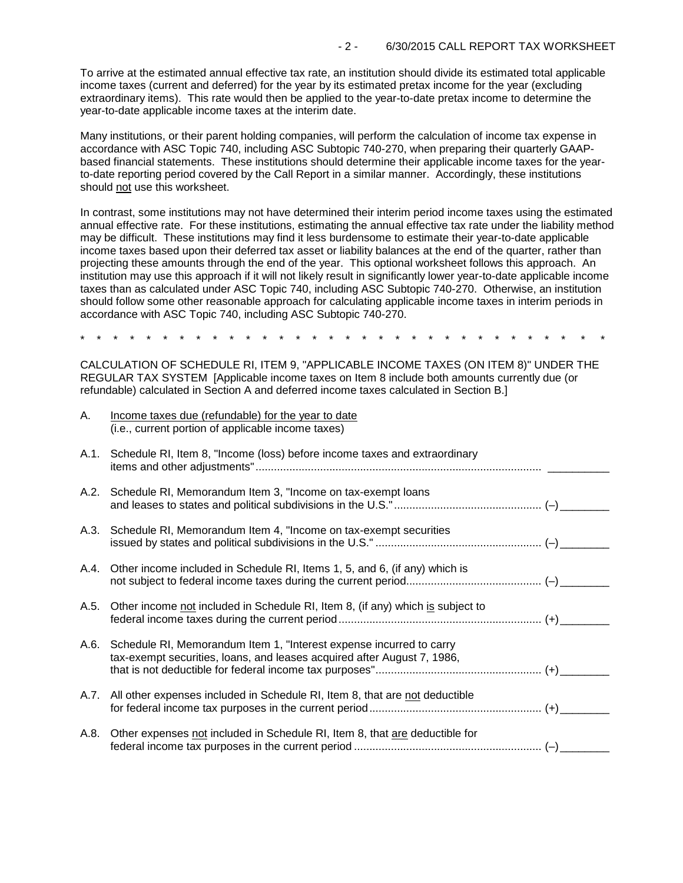To arrive at the estimated annual effective tax rate, an institution should divide its estimated total applicable income taxes (current and deferred) for the year by its estimated pretax income for the year (excluding extraordinary items). This rate would then be applied to the year-to-date pretax income to determine the year-to-date applicable income taxes at the interim date.

Many institutions, or their parent holding companies, will perform the calculation of income tax expense in accordance with ASC Topic 740, including ASC Subtopic 740-270, when preparing their quarterly GAAPbased financial statements. These institutions should determine their applicable income taxes for the yearto-date reporting period covered by the Call Report in a similar manner. Accordingly, these institutions should not use this worksheet.

In contrast, some institutions may not have determined their interim period income taxes using the estimated annual effective rate. For these institutions, estimating the annual effective tax rate under the liability method may be difficult. These institutions may find it less burdensome to estimate their year-to-date applicable income taxes based upon their deferred tax asset or liability balances at the end of the quarter, rather than projecting these amounts through the end of the year. This optional worksheet follows this approach. An institution may use this approach if it will not likely result in significantly lower year-to-date applicable income taxes than as calculated under ASC Topic 740, including ASC Subtopic 740-270. Otherwise, an institution should follow some other reasonable approach for calculating applicable income taxes in interim periods in accordance with ASC Topic 740, including ASC Subtopic 740-270.

\* \* \* \* \* \* \* \* \* \* \* \* \* \* \* \* \* \* \* \* \* \* \* \* \* \* \* \* \* \* \* \*

CALCULATION OF SCHEDULE RI, ITEM 9, "APPLICABLE INCOME TAXES (ON ITEM 8)" UNDER THE REGULAR TAX SYSTEM [Applicable income taxes on Item 8 include both amounts currently due (or refundable) calculated in Section A and deferred income taxes calculated in Section B.]

| Α.   | Income taxes due (refundable) for the year to date<br>(i.e., current portion of applicable income taxes)                                            |  |
|------|-----------------------------------------------------------------------------------------------------------------------------------------------------|--|
|      | A.1. Schedule RI, Item 8, "Income (loss) before income taxes and extraordinary                                                                      |  |
|      | A.2. Schedule RI, Memorandum Item 3, "Income on tax-exempt loans                                                                                    |  |
|      | A.3. Schedule RI, Memorandum Item 4, "Income on tax-exempt securities                                                                               |  |
|      | A.4. Other income included in Schedule RI, Items 1, 5, and 6, (if any) which is                                                                     |  |
| A.5. | Other income not included in Schedule RI, Item 8, (if any) which is subject to                                                                      |  |
|      | A.6. Schedule RI, Memorandum Item 1, "Interest expense incurred to carry<br>tax-exempt securities, loans, and leases acquired after August 7, 1986, |  |
|      | A.7. All other expenses included in Schedule RI, Item 8, that are not deductible                                                                    |  |
| A.8. | Other expenses not included in Schedule RI, Item 8, that are deductible for                                                                         |  |
|      |                                                                                                                                                     |  |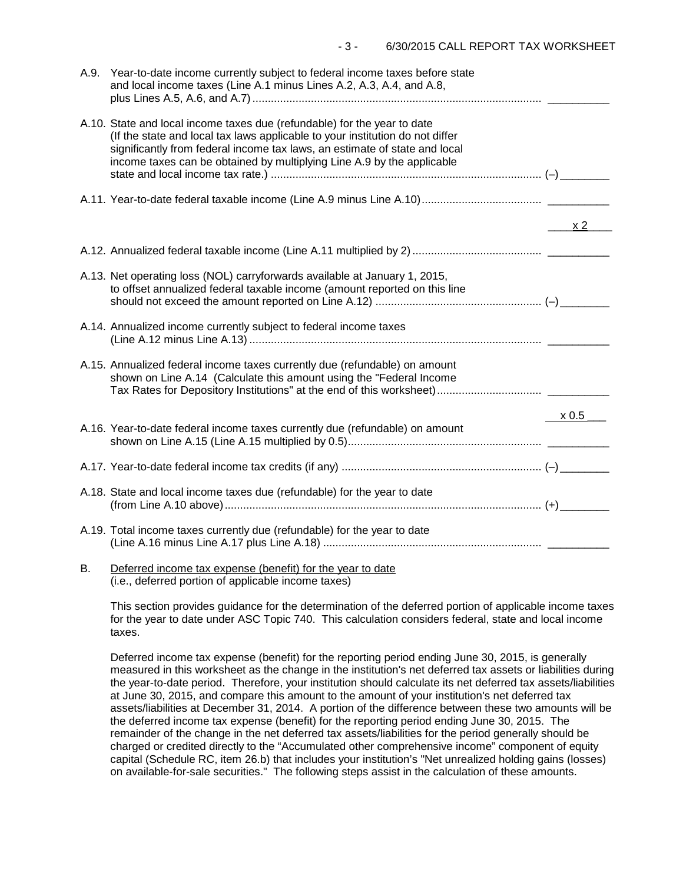|    | A.9. Year-to-date income currently subject to federal income taxes before state<br>and local income taxes (Line A.1 minus Lines A.2, A.3, A.4, and A.8,                                                                                                                                                           |       |
|----|-------------------------------------------------------------------------------------------------------------------------------------------------------------------------------------------------------------------------------------------------------------------------------------------------------------------|-------|
|    | A.10. State and local income taxes due (refundable) for the year to date<br>(If the state and local tax laws applicable to your institution do not differ<br>significantly from federal income tax laws, an estimate of state and local<br>income taxes can be obtained by multiplying Line A.9 by the applicable |       |
|    |                                                                                                                                                                                                                                                                                                                   |       |
|    |                                                                                                                                                                                                                                                                                                                   | x2    |
|    |                                                                                                                                                                                                                                                                                                                   |       |
|    | A.13. Net operating loss (NOL) carryforwards available at January 1, 2015,<br>to offset annualized federal taxable income (amount reported on this line                                                                                                                                                           |       |
|    | A.14. Annualized income currently subject to federal income taxes                                                                                                                                                                                                                                                 |       |
|    | A.15. Annualized federal income taxes currently due (refundable) on amount<br>shown on Line A.14 (Calculate this amount using the "Federal Income                                                                                                                                                                 |       |
|    |                                                                                                                                                                                                                                                                                                                   | x 0.5 |
|    | A.16. Year-to-date federal income taxes currently due (refundable) on amount                                                                                                                                                                                                                                      |       |
|    |                                                                                                                                                                                                                                                                                                                   |       |
|    | A.18. State and local income taxes due (refundable) for the year to date                                                                                                                                                                                                                                          |       |
|    | A.19. Total income taxes currently due (refundable) for the year to date                                                                                                                                                                                                                                          |       |
| В. | Deferred income tax expense (benefit) for the year to date                                                                                                                                                                                                                                                        |       |

(i.e., deferred portion of applicable income taxes)

This section provides guidance for the determination of the deferred portion of applicable income taxes for the year to date under ASC Topic 740. This calculation considers federal, state and local income taxes.

Deferred income tax expense (benefit) for the reporting period ending June 30, 2015, is generally measured in this worksheet as the change in the institution's net deferred tax assets or liabilities during the year-to-date period. Therefore, your institution should calculate its net deferred tax assets/liabilities at June 30, 2015, and compare this amount to the amount of your institution's net deferred tax assets/liabilities at December 31, 2014. A portion of the difference between these two amounts will be the deferred income tax expense (benefit) for the reporting period ending June 30, 2015. The remainder of the change in the net deferred tax assets/liabilities for the period generally should be charged or credited directly to the "Accumulated other comprehensive income" component of equity capital (Schedule RC, item 26.b) that includes your institution's "Net unrealized holding gains (losses) on available-for-sale securities." The following steps assist in the calculation of these amounts.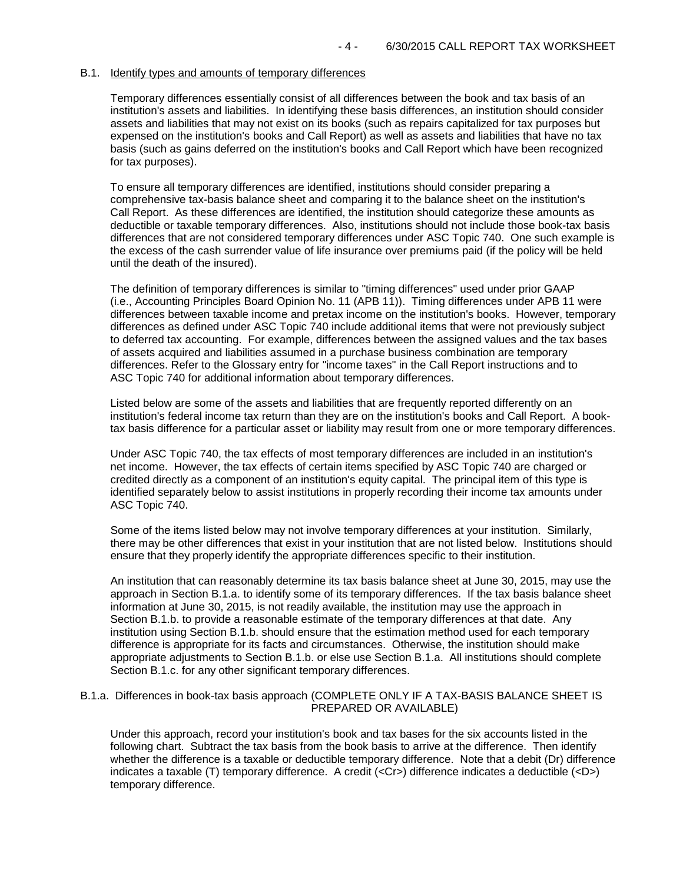### B.1. Identify types and amounts of temporary differences

Temporary differences essentially consist of all differences between the book and tax basis of an institution's assets and liabilities. In identifying these basis differences, an institution should consider assets and liabilities that may not exist on its books (such as repairs capitalized for tax purposes but expensed on the institution's books and Call Report) as well as assets and liabilities that have no tax basis (such as gains deferred on the institution's books and Call Report which have been recognized for tax purposes).

To ensure all temporary differences are identified, institutions should consider preparing a comprehensive tax-basis balance sheet and comparing it to the balance sheet on the institution's Call Report. As these differences are identified, the institution should categorize these amounts as deductible or taxable temporary differences. Also, institutions should not include those book-tax basis differences that are not considered temporary differences under ASC Topic 740. One such example is the excess of the cash surrender value of life insurance over premiums paid (if the policy will be held until the death of the insured).

The definition of temporary differences is similar to "timing differences" used under prior GAAP (i.e., Accounting Principles Board Opinion No. 11 (APB 11)). Timing differences under APB 11 were differences between taxable income and pretax income on the institution's books. However, temporary differences as defined under ASC Topic 740 include additional items that were not previously subject to deferred tax accounting. For example, differences between the assigned values and the tax bases of assets acquired and liabilities assumed in a purchase business combination are temporary differences. Refer to the Glossary entry for "income taxes" in the Call Report instructions and to ASC Topic 740 for additional information about temporary differences.

Listed below are some of the assets and liabilities that are frequently reported differently on an institution's federal income tax return than they are on the institution's books and Call Report. A booktax basis difference for a particular asset or liability may result from one or more temporary differences.

Under ASC Topic 740, the tax effects of most temporary differences are included in an institution's net income. However, the tax effects of certain items specified by ASC Topic 740 are charged or credited directly as a component of an institution's equity capital. The principal item of this type is identified separately below to assist institutions in properly recording their income tax amounts under ASC Topic 740.

Some of the items listed below may not involve temporary differences at your institution. Similarly, there may be other differences that exist in your institution that are not listed below. Institutions should ensure that they properly identify the appropriate differences specific to their institution.

An institution that can reasonably determine its tax basis balance sheet at June 30, 2015, may use the approach in Section B.1.a. to identify some of its temporary differences. If the tax basis balance sheet information at June 30, 2015, is not readily available, the institution may use the approach in Section B.1.b. to provide a reasonable estimate of the temporary differences at that date. Any institution using Section B.1.b. should ensure that the estimation method used for each temporary difference is appropriate for its facts and circumstances. Otherwise, the institution should make appropriate adjustments to Section B.1.b. or else use Section B.1.a. All institutions should complete Section B.1.c. for any other significant temporary differences.

### B.1.a. Differences in book-tax basis approach (COMPLETE ONLY IF A TAX-BASIS BALANCE SHEET IS PREPARED OR AVAILABLE)

Under this approach, record your institution's book and tax bases for the six accounts listed in the following chart. Subtract the tax basis from the book basis to arrive at the difference. Then identify whether the difference is a taxable or deductible temporary difference. Note that a debit (Dr) difference indicates a taxable (T) temporary difference. A credit (<Cr>) difference indicates a deductible (<D>) temporary difference.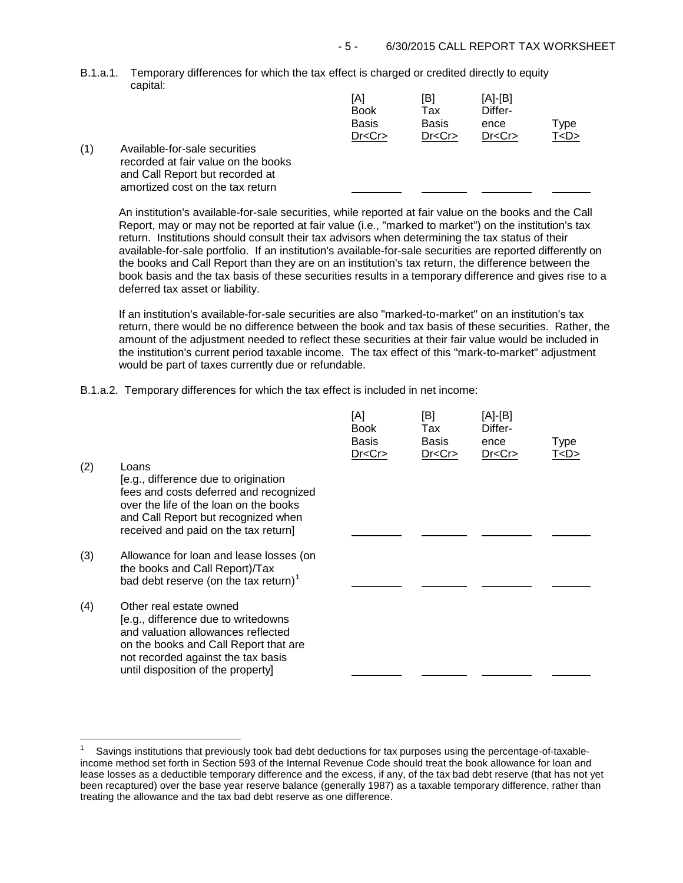B.1.a.1. Temporary differences for which the tax effect is charged or credited directly to equity capital:

| (1) | Available-for-sale securities<br>recorded at fair value on the books | [A]<br><b>Book</b><br><b>Basis</b><br>Dr < Cr | [B]<br>Tax<br><b>Basis</b><br>Dr < Cr | [A]-[B]<br>Differ-<br>ence<br>Dr < Cr | Type<br>™ <d></d> |
|-----|----------------------------------------------------------------------|-----------------------------------------------|---------------------------------------|---------------------------------------|-------------------|
|     | and Call Report but recorded at                                      |                                               |                                       |                                       |                   |

An institution's available-for-sale securities, while reported at fair value on the books and the Call Report, may or may not be reported at fair value (i.e., "marked to market") on the institution's tax return. Institutions should consult their tax advisors when determining the tax status of their available-for-sale portfolio. If an institution's available-for-sale securities are reported differently on the books and Call Report than they are on an institution's tax return, the difference between the book basis and the tax basis of these securities results in a temporary difference and gives rise to a deferred tax asset or liability.

If an institution's available-for-sale securities are also "marked-to-market" on an institution's tax return, there would be no difference between the book and tax basis of these securities. Rather, the amount of the adjustment needed to reflect these securities at their fair value would be included in the institution's current period taxable income. The tax effect of this "mark-to-market" adjustment would be part of taxes currently due or refundable.

B.1.a.2. Temporary differences for which the tax effect is included in net income:

amortized cost on the tax return

| (2) | Loans<br>[e.g., difference due to origination<br>fees and costs deferred and recognized<br>over the life of the loan on the books<br>and Call Report but recognized when<br>received and paid on the tax return]          | [A]<br><b>Book</b><br><b>Basis</b><br>Dr < Cr | [B]<br>Tax<br><b>Basis</b><br>Dr < Cr | [A]-[B]<br>Differ-<br>ence<br>Dr < Cr | Type<br>T < D > |
|-----|---------------------------------------------------------------------------------------------------------------------------------------------------------------------------------------------------------------------------|-----------------------------------------------|---------------------------------------|---------------------------------------|-----------------|
| (3) | Allowance for loan and lease losses (on<br>the books and Call Report)/Tax<br>bad debt reserve (on the tax return) <sup>1</sup>                                                                                            |                                               |                                       |                                       |                 |
| (4) | Other real estate owned<br>[e.g., difference due to writedowns<br>and valuation allowances reflected<br>on the books and Call Report that are<br>not recorded against the tax basis<br>until disposition of the property] |                                               |                                       |                                       |                 |

<span id="page-4-0"></span> $\overline{1}$ 1 Savings institutions that previously took bad debt deductions for tax purposes using the percentage-of-taxableincome method set forth in Section 593 of the Internal Revenue Code should treat the book allowance for loan and lease losses as a deductible temporary difference and the excess, if any, of the tax bad debt reserve (that has not yet been recaptured) over the base year reserve balance (generally 1987) as a taxable temporary difference, rather than treating the allowance and the tax bad debt reserve as one difference.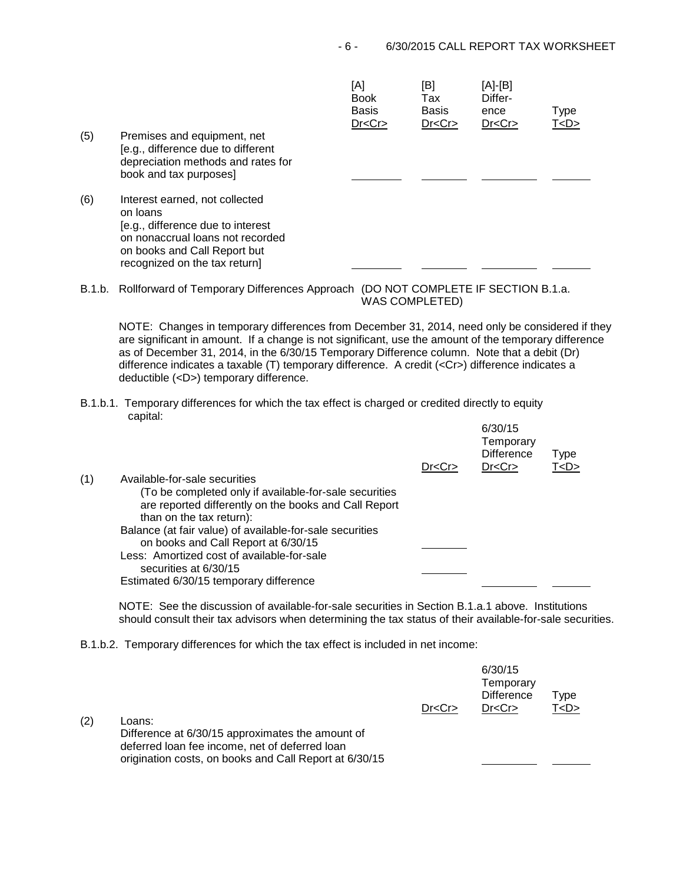| (5) | Premises and equipment, net<br>[e.g., difference due to different<br>depreciation methods and rates for<br>book and tax purposes]                                                    | [A]<br><b>Book</b><br><b>Basis</b><br>Dr < Cr | [B]<br>Tax<br><b>Basis</b><br>Dr < Cr | [A]-[B]<br>Differ-<br>ence<br>Dr < Cr | Type<br>T < D > |
|-----|--------------------------------------------------------------------------------------------------------------------------------------------------------------------------------------|-----------------------------------------------|---------------------------------------|---------------------------------------|-----------------|
| (6) | Interest earned, not collected<br>on loans<br>[e.g., difference due to interest<br>on nonaccrual loans not recorded<br>on books and Call Report but<br>recognized on the tax return] |                                               |                                       |                                       |                 |

B.1.b. Rollforward of Temporary Differences Approach (DO NOT COMPLETE IF SECTION B.1.a. WAS COMPLETED)

NOTE: Changes in temporary differences from December 31, 2014, need only be considered if they are significant in amount. If a change is not significant, use the amount of the temporary difference as of December 31, 2014, in the 6/30/15 Temporary Difference column. Note that a debit (Dr) difference indicates a taxable (T) temporary difference. A credit (<Cr>) difference indicates a deductible (<D>) temporary difference.

B.1.b.1. Temporary differences for which the tax effect is charged or credited directly to equity capital:  $0/20/15$ 

|     |                                                                                                                                             | Dr < Cr | 0/JU/10<br>Temporary<br><b>Difference</b><br>Dr < Cr | <b>Type</b><br>T <d></d> |  |
|-----|---------------------------------------------------------------------------------------------------------------------------------------------|---------|------------------------------------------------------|--------------------------|--|
| (1) | Available-for-sale securities                                                                                                               |         |                                                      |                          |  |
|     | (To be completed only if available-for-sale securities<br>are reported differently on the books and Call Report<br>than on the tax return): |         |                                                      |                          |  |
|     | Balance (at fair value) of available-for-sale securities<br>on books and Call Report at 6/30/15                                             |         |                                                      |                          |  |
|     | Less: Amortized cost of available-for-sale<br>securities at 6/30/15                                                                         |         |                                                      |                          |  |
|     | Estimated 6/30/15 temporary difference                                                                                                      |         |                                                      |                          |  |

NOTE: See the discussion of available-for-sale securities in Section B.1.a.1 above. Institutions should consult their tax advisors when determining the tax status of their available-for-sale securities.

B.1.b.2. Temporary differences for which the tax effect is included in net income:

| (2) | Loans:<br>Difference at 6/30/15 approximates the amount of<br>deferred loan fee income, net of deferred loan | Dr < Cr | 6/30/15<br>Temporary<br><b>Difference</b><br>Dr < Cr | Type<br>T <d></d> |  |
|-----|--------------------------------------------------------------------------------------------------------------|---------|------------------------------------------------------|-------------------|--|
|     | origination costs, on books and Call Report at 6/30/15                                                       |         |                                                      |                   |  |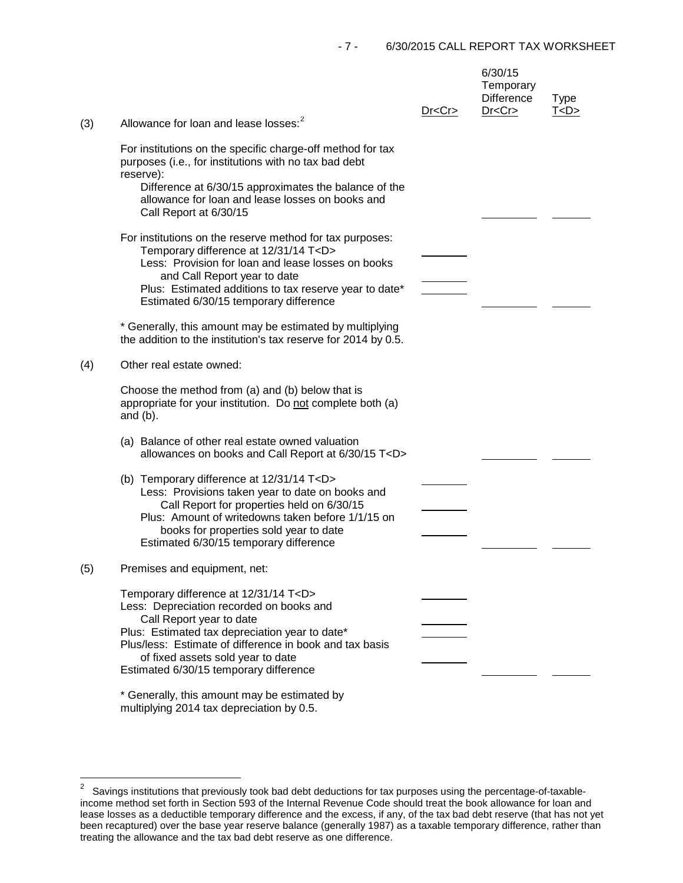| (3) | Allowance for loan and lease losses: <sup>2</sup>                                                                                                                                                                                                                                                                                                                                                                                    | Dr < Cr | 6/30/15<br>Temporary<br><b>Difference</b><br>Dr < Cr | <b>Type</b><br>T < D > |
|-----|--------------------------------------------------------------------------------------------------------------------------------------------------------------------------------------------------------------------------------------------------------------------------------------------------------------------------------------------------------------------------------------------------------------------------------------|---------|------------------------------------------------------|------------------------|
|     | For institutions on the specific charge-off method for tax<br>purposes (i.e., for institutions with no tax bad debt<br>reserve):<br>Difference at 6/30/15 approximates the balance of the<br>allowance for loan and lease losses on books and<br>Call Report at 6/30/15                                                                                                                                                              |         |                                                      |                        |
|     | For institutions on the reserve method for tax purposes:<br>Temporary difference at 12/31/14 T <d><br/>Less: Provision for loan and lease losses on books<br/>and Call Report year to date<br/>Plus: Estimated additions to tax reserve year to date*<br/>Estimated 6/30/15 temporary difference<br/>* Generally, this amount may be estimated by multiplying<br/>the addition to the institution's tax reserve for 2014 by 0.5.</d> |         |                                                      |                        |
| (4) | Other real estate owned:                                                                                                                                                                                                                                                                                                                                                                                                             |         |                                                      |                        |
|     | Choose the method from (a) and (b) below that is<br>appropriate for your institution. Do not complete both (a)<br>and $(b)$ .                                                                                                                                                                                                                                                                                                        |         |                                                      |                        |
|     | (a) Balance of other real estate owned valuation<br>allowances on books and Call Report at 6/30/15 T <d></d>                                                                                                                                                                                                                                                                                                                         |         |                                                      |                        |
|     | (b) Temporary difference at 12/31/14 T <d><br/>Less: Provisions taken year to date on books and<br/>Call Report for properties held on 6/30/15<br/>Plus: Amount of writedowns taken before 1/1/15 on<br/>books for properties sold year to date<br/>Estimated 6/30/15 temporary difference</d>                                                                                                                                       |         |                                                      |                        |
| (5) | Premises and equipment, net:                                                                                                                                                                                                                                                                                                                                                                                                         |         |                                                      |                        |
|     | Temporary difference at 12/31/14 T <d><br/>Less: Depreciation recorded on books and<br/>Call Report year to date<br/>Plus: Estimated tax depreciation year to date*<br/>Plus/less: Estimate of difference in book and tax basis<br/>of fixed assets sold year to date<br/>Estimated 6/30/15 temporary difference</d>                                                                                                                 |         |                                                      |                        |
|     | * Generally, this amount may be estimated by                                                                                                                                                                                                                                                                                                                                                                                         |         |                                                      |                        |

multiplying 2014 tax depreciation by 0.5.

<span id="page-6-0"></span> $\mathbf 2$ 2 Savings institutions that previously took bad debt deductions for tax purposes using the percentage-of-taxableincome method set forth in Section 593 of the Internal Revenue Code should treat the book allowance for loan and lease losses as a deductible temporary difference and the excess, if any, of the tax bad debt reserve (that has not yet been recaptured) over the base year reserve balance (generally 1987) as a taxable temporary difference, rather than treating the allowance and the tax bad debt reserve as one difference.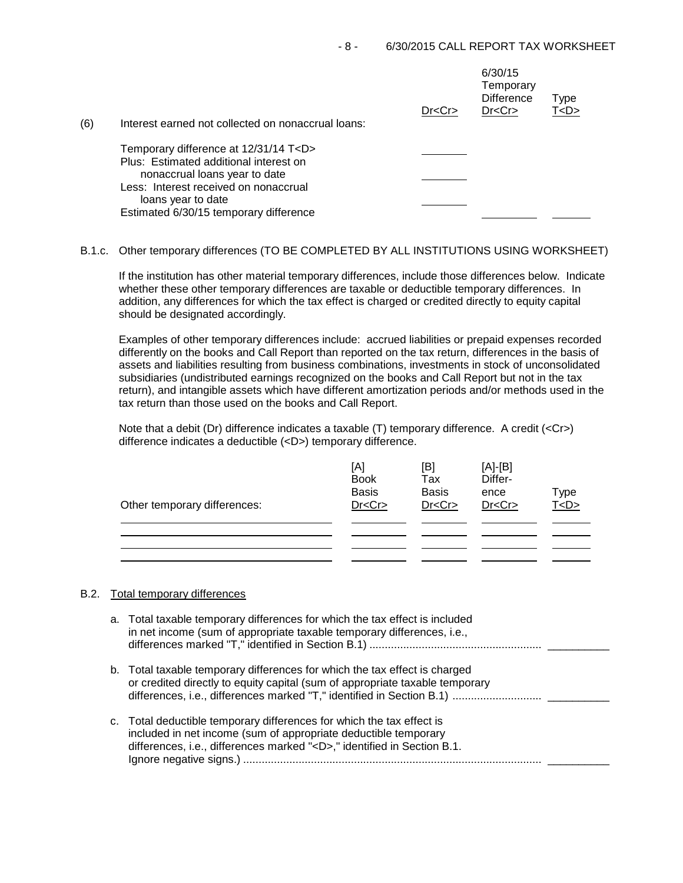| (6) | Interest earned not collected on nonaccrual loans: | Dr < Cr | 6/30/15<br>Temporary<br><b>Difference</b><br>Dr < Cr | Type<br>T <d></d> |
|-----|----------------------------------------------------|---------|------------------------------------------------------|-------------------|
|     | Temporary difference at 12/31/14 T <d></d>         |         |                                                      |                   |
|     | Plus: Estimated additional interest on             |         |                                                      |                   |
|     | nonaccrual loans year to date                      |         |                                                      |                   |
|     | Less: Interest received on nonaccrual              |         |                                                      |                   |
|     | loans year to date                                 |         |                                                      |                   |
|     | Estimated 6/30/15 temporary difference             |         |                                                      |                   |

# B.1.c. Other temporary differences (TO BE COMPLETED BY ALL INSTITUTIONS USING WORKSHEET)

If the institution has other material temporary differences, include those differences below. Indicate whether these other temporary differences are taxable or deductible temporary differences. In addition, any differences for which the tax effect is charged or credited directly to equity capital should be designated accordingly.

Examples of other temporary differences include: accrued liabilities or prepaid expenses recorded differently on the books and Call Report than reported on the tax return, differences in the basis of assets and liabilities resulting from business combinations, investments in stock of unconsolidated subsidiaries (undistributed earnings recognized on the books and Call Report but not in the tax return), and intangible assets which have different amortization periods and/or methods used in the tax return than those used on the books and Call Report.

Note that a debit (Dr) difference indicates a taxable (T) temporary difference. A credit (<Cr>>Cr>) difference indicates a deductible (<D>) temporary difference.

| Other temporary differences: | [A]<br><b>Book</b><br><b>Basis</b><br>Dr < Cr | [B]<br>Tax<br><b>Basis</b><br>Dr < Cr | $[A]-[B]$<br>Differ-<br>ence<br>Dr < Cr | Type<br>T < D > |
|------------------------------|-----------------------------------------------|---------------------------------------|-----------------------------------------|-----------------|
|                              |                                               |                                       |                                         |                 |
|                              |                                               |                                       |                                         |                 |

## B.2. Total temporary differences

| a. Total taxable temporary differences for which the tax effect is included<br>in net income (sum of appropriate taxable temporary differences, i.e.,                                                                    |
|--------------------------------------------------------------------------------------------------------------------------------------------------------------------------------------------------------------------------|
| b. Total taxable temporary differences for which the tax effect is charged<br>or credited directly to equity capital (sum of appropriate taxable temporary                                                               |
| c. Total deductible temporary differences for which the tax effect is<br>included in net income (sum of appropriate deductible temporary<br>differences, i.e., differences marked " <d>," identified in Section B.1.</d> |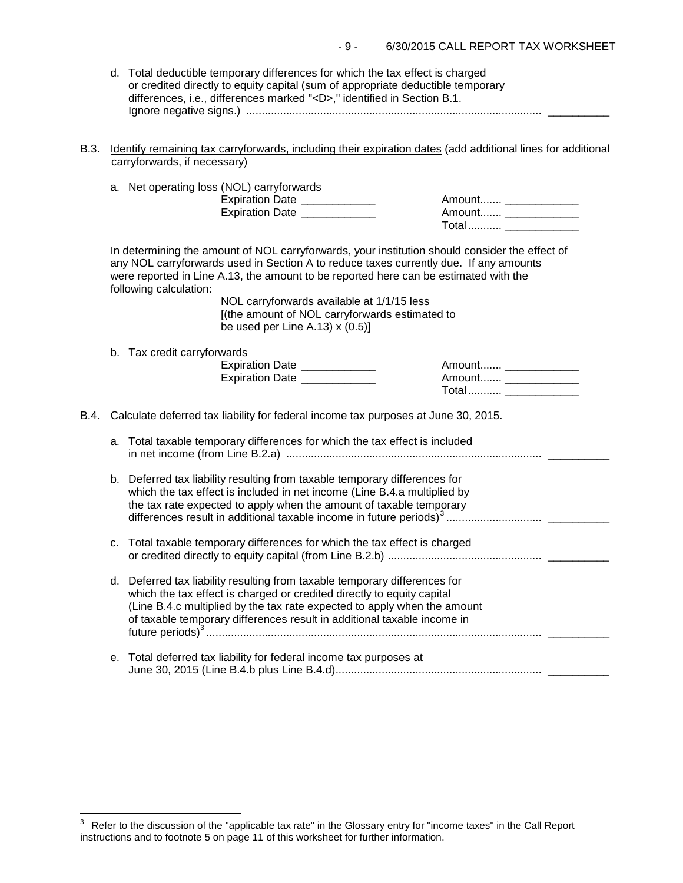| 6/30/2015 CALL REPORT TAX WORKSHEET<br>- 9 - |
|----------------------------------------------|
|----------------------------------------------|

| d. Total deductible temporary differences for which the tax effect is charged   |  |
|---------------------------------------------------------------------------------|--|
| or credited directly to equity capital (sum of appropriate deductible temporary |  |
| differences, i.e., differences marked " <d>," identified in Section B.1.</d>    |  |
|                                                                                 |  |

B.3. Identify remaining tax carryforwards, including their expiration dates (add additional lines for additional carryforwards, if necessary)

|      |    | a. Net operating loss (NOL) carryforwards<br>Expiration Date ____________<br>Expiration Date __________                                                                                                                                                                                                                                                                                                                                        | Amount _____________<br>Amount ________________<br>Total  ________________ |  |
|------|----|------------------------------------------------------------------------------------------------------------------------------------------------------------------------------------------------------------------------------------------------------------------------------------------------------------------------------------------------------------------------------------------------------------------------------------------------|----------------------------------------------------------------------------|--|
|      |    | In determining the amount of NOL carryforwards, your institution should consider the effect of<br>any NOL carryforwards used in Section A to reduce taxes currently due. If any amounts<br>were reported in Line A.13, the amount to be reported here can be estimated with the<br>following calculation:<br>NOL carryforwards available at 1/1/15 less<br>[(the amount of NOL carryforwards estimated to<br>be used per Line A.13) $x(0.5)$ ] |                                                                            |  |
|      |    | b. Tax credit carryforwards<br>Expiration Date ____________<br>Expiration Date _____________                                                                                                                                                                                                                                                                                                                                                   | Total  _______________                                                     |  |
| B.4. |    | Calculate deferred tax liability for federal income tax purposes at June 30, 2015.                                                                                                                                                                                                                                                                                                                                                             |                                                                            |  |
|      | a. | Total taxable temporary differences for which the tax effect is included                                                                                                                                                                                                                                                                                                                                                                       |                                                                            |  |
|      |    | b. Deferred tax liability resulting from taxable temporary differences for<br>which the tax effect is included in net income (Line B.4.a multiplied by<br>the tax rate expected to apply when the amount of taxable temporary                                                                                                                                                                                                                  |                                                                            |  |
|      | c. | Total taxable temporary differences for which the tax effect is charged                                                                                                                                                                                                                                                                                                                                                                        |                                                                            |  |
|      |    | d. Deferred tax liability resulting from taxable temporary differences for<br>which the tax effect is charged or credited directly to equity capital<br>(Line B.4.c multiplied by the tax rate expected to apply when the amount<br>of taxable temporary differences result in additional taxable income in                                                                                                                                    |                                                                            |  |
|      | е. | Total deferred tax liability for federal income tax purposes at                                                                                                                                                                                                                                                                                                                                                                                |                                                                            |  |
|      |    |                                                                                                                                                                                                                                                                                                                                                                                                                                                |                                                                            |  |

<span id="page-8-0"></span> $\overline{a}$  $3$  Refer to the discussion of the "applicable tax rate" in the Glossary entry for "income taxes" in the Call Report instructions and to footnote 5 on page 11 of this worksheet for further information.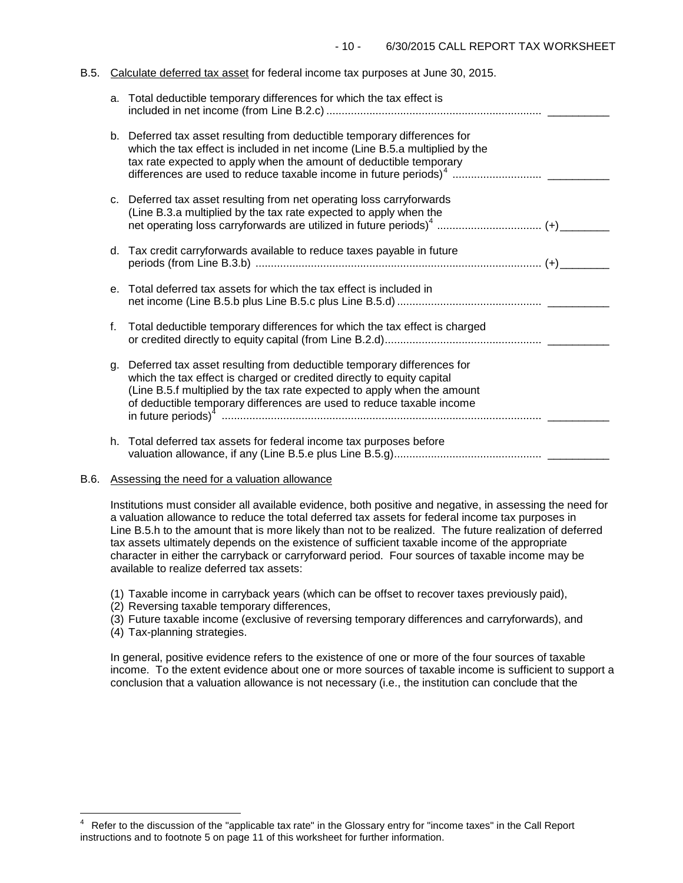### B.5. Calculate deferred tax asset for federal income tax purposes at June 30, 2015.

|    | a. Total deductible temporary differences for which the tax effect is                                                                                                                                                                                                                                 |
|----|-------------------------------------------------------------------------------------------------------------------------------------------------------------------------------------------------------------------------------------------------------------------------------------------------------|
|    | b. Deferred tax asset resulting from deductible temporary differences for<br>which the tax effect is included in net income (Line B.5.a multiplied by the<br>tax rate expected to apply when the amount of deductible temporary                                                                       |
|    | c. Deferred tax asset resulting from net operating loss carryforwards<br>(Line B.3.a multiplied by the tax rate expected to apply when the                                                                                                                                                            |
|    | d. Tax credit carryforwards available to reduce taxes payable in future                                                                                                                                                                                                                               |
| e. | Total deferred tax assets for which the tax effect is included in                                                                                                                                                                                                                                     |
| f. | Total deductible temporary differences for which the tax effect is charged                                                                                                                                                                                                                            |
| g. | Deferred tax asset resulting from deductible temporary differences for<br>which the tax effect is charged or credited directly to equity capital<br>(Line B.5.f multiplied by the tax rate expected to apply when the amount<br>of deductible temporary differences are used to reduce taxable income |
|    | h. Total deferred tax assets for federal income tax purposes before                                                                                                                                                                                                                                   |

## B.6. Assessing the need for a valuation allowance

Institutions must consider all available evidence, both positive and negative, in assessing the need for a valuation allowance to reduce the total deferred tax assets for federal income tax purposes in Line B.5.h to the amount that is more likely than not to be realized. The future realization of deferred tax assets ultimately depends on the existence of sufficient taxable income of the appropriate character in either the carryback or carryforward period. Four sources of taxable income may be available to realize deferred tax assets:

- (1) Taxable income in carryback years (which can be offset to recover taxes previously paid),
- (2) Reversing taxable temporary differences,
- (3) Future taxable income (exclusive of reversing temporary differences and carryforwards), and
- (4) Tax-planning strategies.

In general, positive evidence refers to the existence of one or more of the four sources of taxable income. To the extent evidence about one or more sources of taxable income is sufficient to support a conclusion that a valuation allowance is not necessary (i.e., the institution can conclude that the

<span id="page-9-0"></span> $\frac{1}{4}$ 4 Refer to the discussion of the "applicable tax rate" in the Glossary entry for "income taxes" in the Call Report instructions and to footnote 5 on page 11 of this worksheet for further information.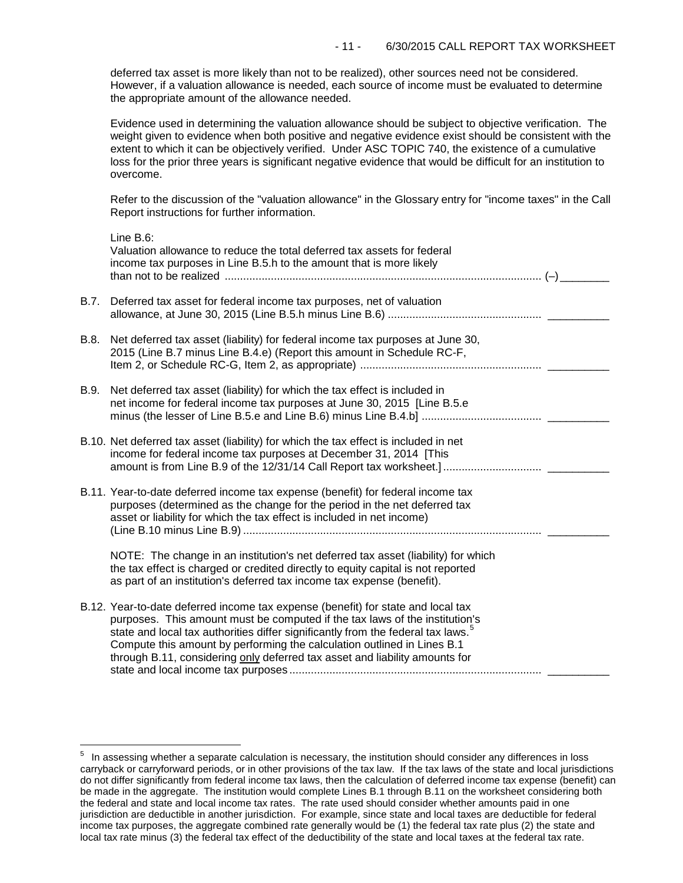deferred tax asset is more likely than not to be realized), other sources need not be considered. However, if a valuation allowance is needed, each source of income must be evaluated to determine the appropriate amount of the allowance needed.

Evidence used in determining the valuation allowance should be subject to objective verification. The weight given to evidence when both positive and negative evidence exist should be consistent with the extent to which it can be objectively verified. Under ASC TOPIC 740, the existence of a cumulative loss for the prior three years is significant negative evidence that would be difficult for an institution to overcome.

Refer to the discussion of the "valuation allowance" in the Glossary entry for "income taxes" in the Call Report instructions for further information.

|      | Line B.6:<br>Valuation allowance to reduce the total deferred tax assets for federal<br>income tax purposes in Line B.5.h to the amount that is more likely                                                                                                                                                                                                                                                  |
|------|--------------------------------------------------------------------------------------------------------------------------------------------------------------------------------------------------------------------------------------------------------------------------------------------------------------------------------------------------------------------------------------------------------------|
| B.7. | Deferred tax asset for federal income tax purposes, net of valuation                                                                                                                                                                                                                                                                                                                                         |
| B.8. | Net deferred tax asset (liability) for federal income tax purposes at June 30,<br>2015 (Line B.7 minus Line B.4.e) (Report this amount in Schedule RC-F,                                                                                                                                                                                                                                                     |
| B.9. | Net deferred tax asset (liability) for which the tax effect is included in<br>net income for federal income tax purposes at June 30, 2015 [Line B.5.e                                                                                                                                                                                                                                                        |
|      | B.10. Net deferred tax asset (liability) for which the tax effect is included in net<br>income for federal income tax purposes at December 31, 2014 [This<br>amount is from Line B.9 of the 12/31/14 Call Report tax worksheet.]                                                                                                                                                                             |
|      | B.11. Year-to-date deferred income tax expense (benefit) for federal income tax<br>purposes (determined as the change for the period in the net deferred tax<br>asset or liability for which the tax effect is included in net income)                                                                                                                                                                       |
|      | NOTE: The change in an institution's net deferred tax asset (liability) for which<br>the tax effect is charged or credited directly to equity capital is not reported<br>as part of an institution's deferred tax income tax expense (benefit).                                                                                                                                                              |
|      | B.12. Year-to-date deferred income tax expense (benefit) for state and local tax<br>purposes. This amount must be computed if the tax laws of the institution's<br>state and local tax authorities differ significantly from the federal tax laws.<br>Compute this amount by performing the calculation outlined in Lines B.1<br>through B.11, considering only deferred tax asset and liability amounts for |

<span id="page-10-0"></span> $\frac{1}{\epsilon}$  $5$  In assessing whether a separate calculation is necessary, the institution should consider any differences in loss carryback or carryforward periods, or in other provisions of the tax law. If the tax laws of the state and local jurisdictions do not differ significantly from federal income tax laws, then the calculation of deferred income tax expense (benefit) can be made in the aggregate. The institution would complete Lines B.1 through B.11 on the worksheet considering both the federal and state and local income tax rates. The rate used should consider whether amounts paid in one jurisdiction are deductible in another jurisdiction. For example, since state and local taxes are deductible for federal income tax purposes, the aggregate combined rate generally would be (1) the federal tax rate plus (2) the state and local tax rate minus (3) the federal tax effect of the deductibility of the state and local taxes at the federal tax rate.